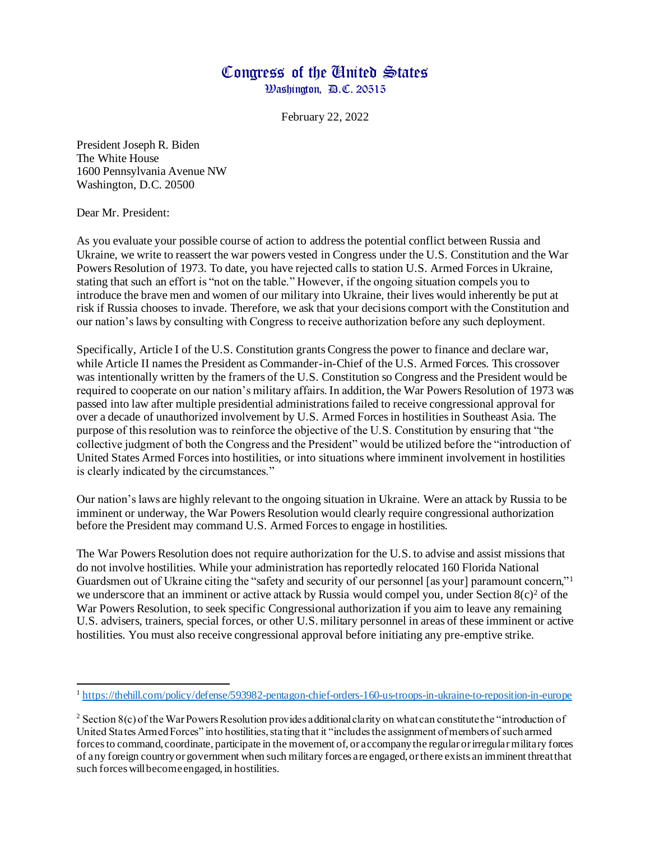## Congress of the United States

Washington, D.C. 20515

February 22, 2022

President Joseph R. Biden The White House 1600 Pennsylvania Avenue NW Washington, D.C. 20500

Dear Mr. President:

As you evaluate your possible course of action to address the potential conflict between Russia and Ukraine, we write to reassert the war powers vested in Congress under the U.S. Constitution and the War Powers Resolution of 1973. To date, you have rejected calls to station U.S. Armed Forces in Ukraine, stating that such an effort is "not on the table." However, if the ongoing situation compels you to introduce the brave men and women of our military into Ukraine, their lives would inherently be put at risk if Russia chooses to invade. Therefore, we ask that your decisions comport with the Constitution and our nation's laws by consulting with Congress to receive authorization before any such deployment.

Specifically, Article I of the U.S. Constitution grants Congress the power to finance and declare war, while Article II names the President as Commander-in-Chief of the U.S. Armed Forces. This crossover was intentionally written by the framers of the U.S. Constitution so Congress and the President would be required to cooperate on our nation's military affairs. In addition, the War Powers Resolution of 1973 was passed into law after multiple presidential administrations failed to receive congressional approval for over a decade of unauthorized involvement by U.S. Armed Forces in hostilities in Southeast Asia. The purpose of this resolution was to reinforce the objective of the U.S. Constitution by ensuring that "the collective judgment of both the Congress and the President" would be utilized before the "introduction of United States Armed Forces into hostilities, or into situations where imminent involvement in hostilities is clearly indicated by the circumstances."

Our nation's laws are highly relevant to the ongoing situation in Ukraine. Were an attack by Russia to be imminent or underway, the War Powers Resolution would clearly require congressional authorization before the President may command U.S. Armed Forces to engage in hostilities.

The War Powers Resolution does not require authorization for the U.S. to advise and assist missions that do not involve hostilities. While your administration has reportedly relocated 160 Florida National Guardsmen out of Ukraine citing the "safety and security of our personnel [as your] paramount concern,"<sup>1</sup> we underscore that an imminent or active attack by Russia would compel you, under Section  $8(c)^2$  of the War Powers Resolution, to seek specific Congressional authorization if you aim to leave any remaining U.S. advisers, trainers, special forces, or other U.S. military personnel in areas of these imminent or active hostilities. You must also receive congressional approval before initiating any pre-emptive strike.

<sup>&</sup>lt;sup>1</sup> <https://thehill.com/policy/defense/593982-pentagon-chief-orders-160-us-troops-in-ukraine-to-reposition-in-europe>

<sup>&</sup>lt;sup>2</sup> Section 8(c) of the War Powers Resolution provides additional clarity on what can constitute the "introduction of United States Armed Forces" into hostilities, stating that it "includes the assignment of members of such armed forces to command, coordinate, participate in the movement of, or accompany the regular or irregular military forces of any foreign country or government when such military forces are engaged, or there exists an imminent threat that such forces will become engaged, in hostilities.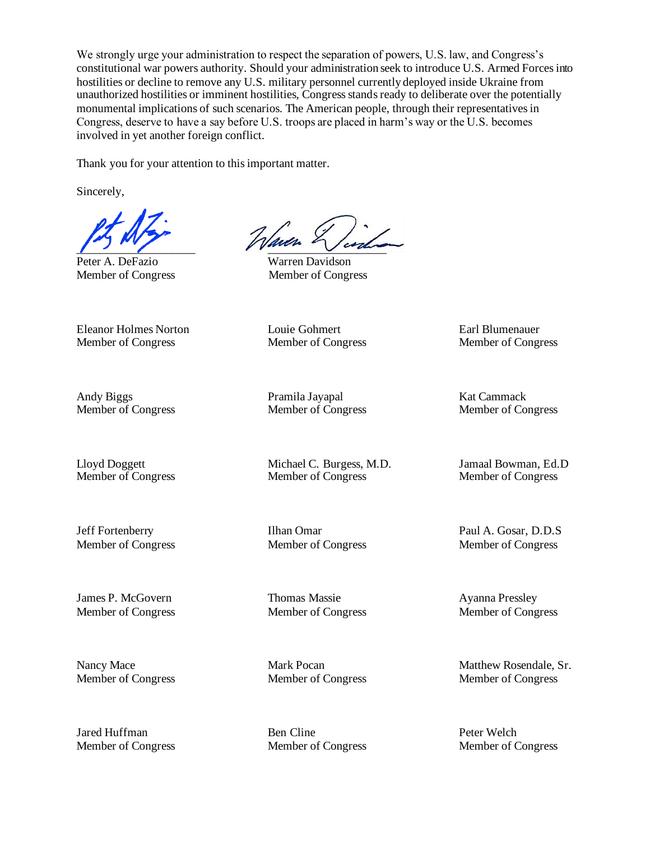We strongly urge your administration to respect the separation of powers, U.S. law, and Congress's constitutional war powers authority. Should your administration seek to introduce U.S. Armed Forces into hostilities or decline to remove any U.S. military personnel currently deployed inside Ukraine from unauthorized hostilities or imminent hostilities, Congress stands ready to deliberate over the potentially monumental implications of such scenarios. The American people, through their representatives in Congress, deserve to have a say before U.S. troops are placed in harm's way or the U.S. becomes involved in yet another foreign conflict.

Thank you for your attention to this important matter.

Sincerely,

Peter A. DeFazio Warren Davidson Member of Congress Member of Congress

 $\frac{1}{2}$ 

Eleanor Holmes Norton Louie Gohmert Earl Blumenauer Member of Congress Member of Congress Member of Congress

Andy Biggs Pramila Jayapal Kat Cammack

Member of Congress Member of Congress Member of Congress

Member of Congress Member of Congress Member of Congress

Lloyd Doggett Michael C. Burgess, M.D. Jamaal Bowman, Ed.D

James P. McGovern Thomas Massie Ayanna Pressley Member of Congress Member of Congress Member of Congress

Jared Huffman Ben Cline Peter Welch Member of Congress Member of Congress Member of Congress

Jeff Fortenberry Ilhan Omar Paul A. Gosar, D.D.S Member of Congress Member of Congress Member of Congress

Nancy Mace Mark Pocan Mark Pocan Matthew Rosendale, Sr. Member of Congress Member of Congress Member of Congress